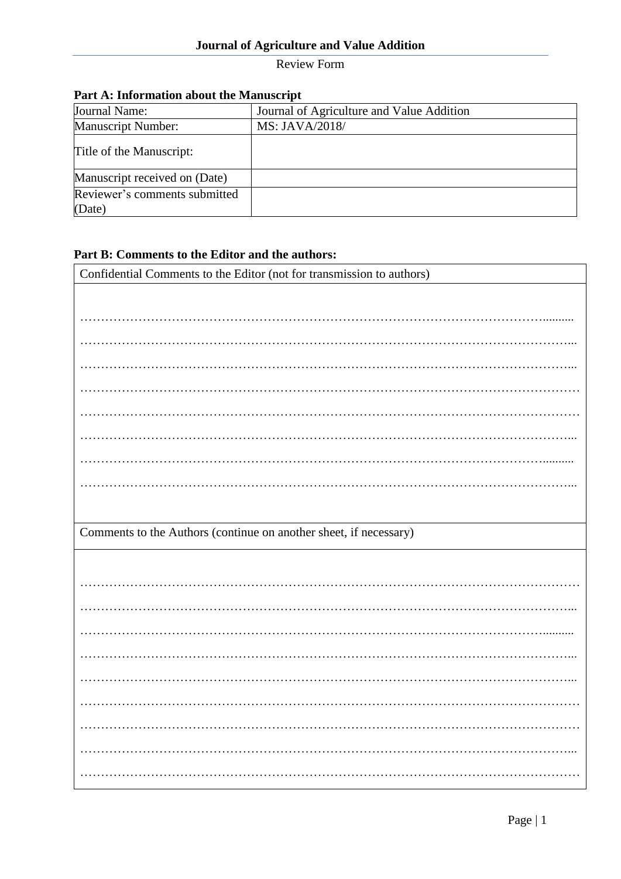## **Journal of Agriculture and Value Addition**

Review Form

| T are A. Hilbridation about the Manuscript |                                           |  |  |  |  |
|--------------------------------------------|-------------------------------------------|--|--|--|--|
| Journal Name:                              | Journal of Agriculture and Value Addition |  |  |  |  |
| <b>Manuscript Number:</b>                  | MS: JAVA/2018/                            |  |  |  |  |
| Title of the Manuscript:                   |                                           |  |  |  |  |
| Manuscript received on (Date)              |                                           |  |  |  |  |
| Reviewer's comments submitted              |                                           |  |  |  |  |
| (Date)                                     |                                           |  |  |  |  |

### **Part A: Information about the Manuscript**

### **Part B: Comments to the Editor and the authors:**

| Confidential Comments to the Editor (not for transmission to authors) |  |  |  |  |
|-----------------------------------------------------------------------|--|--|--|--|
|                                                                       |  |  |  |  |
|                                                                       |  |  |  |  |
|                                                                       |  |  |  |  |
|                                                                       |  |  |  |  |
|                                                                       |  |  |  |  |
|                                                                       |  |  |  |  |
|                                                                       |  |  |  |  |
|                                                                       |  |  |  |  |
|                                                                       |  |  |  |  |
|                                                                       |  |  |  |  |
| Comments to the Authors (continue on another sheet, if necessary)     |  |  |  |  |
|                                                                       |  |  |  |  |
|                                                                       |  |  |  |  |
|                                                                       |  |  |  |  |
|                                                                       |  |  |  |  |
|                                                                       |  |  |  |  |
|                                                                       |  |  |  |  |
|                                                                       |  |  |  |  |
|                                                                       |  |  |  |  |
|                                                                       |  |  |  |  |
|                                                                       |  |  |  |  |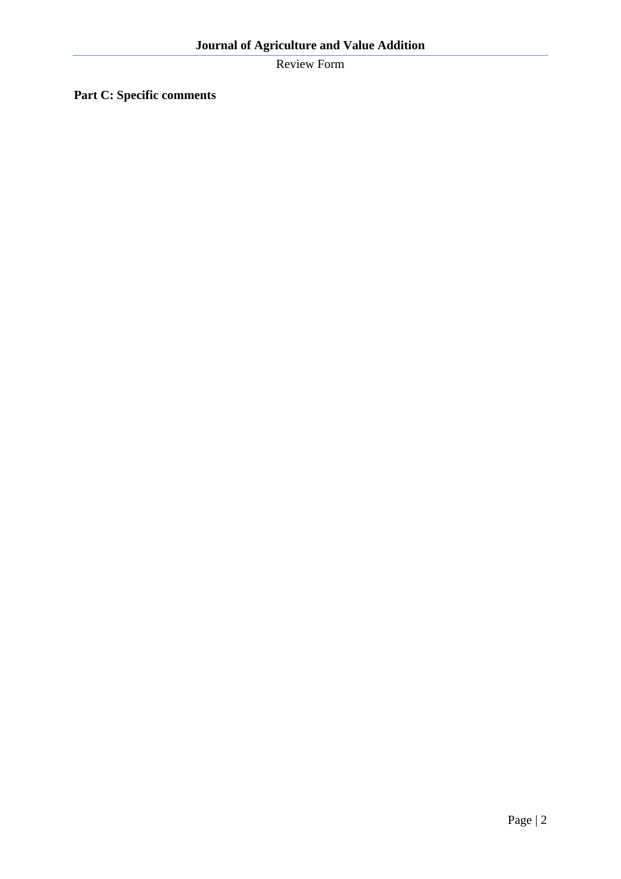Review Form

**Part C: Specific comments**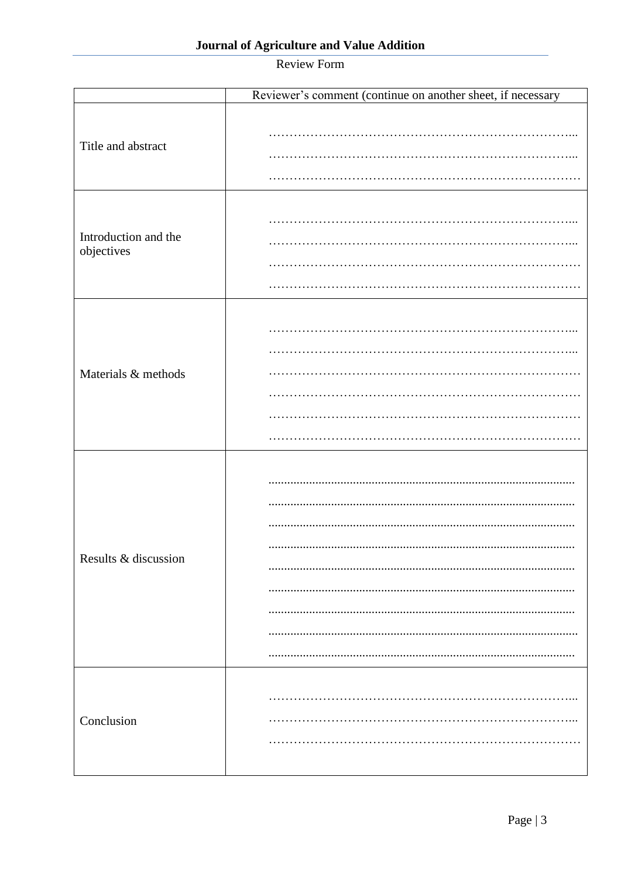# Review Form

|                                    | Reviewer's comment (continue on another sheet, if necessary |  |  |  |
|------------------------------------|-------------------------------------------------------------|--|--|--|
| Title and abstract                 |                                                             |  |  |  |
| Introduction and the<br>objectives |                                                             |  |  |  |
| Materials & methods                |                                                             |  |  |  |
| Results & discussion               |                                                             |  |  |  |
| Conclusion                         |                                                             |  |  |  |